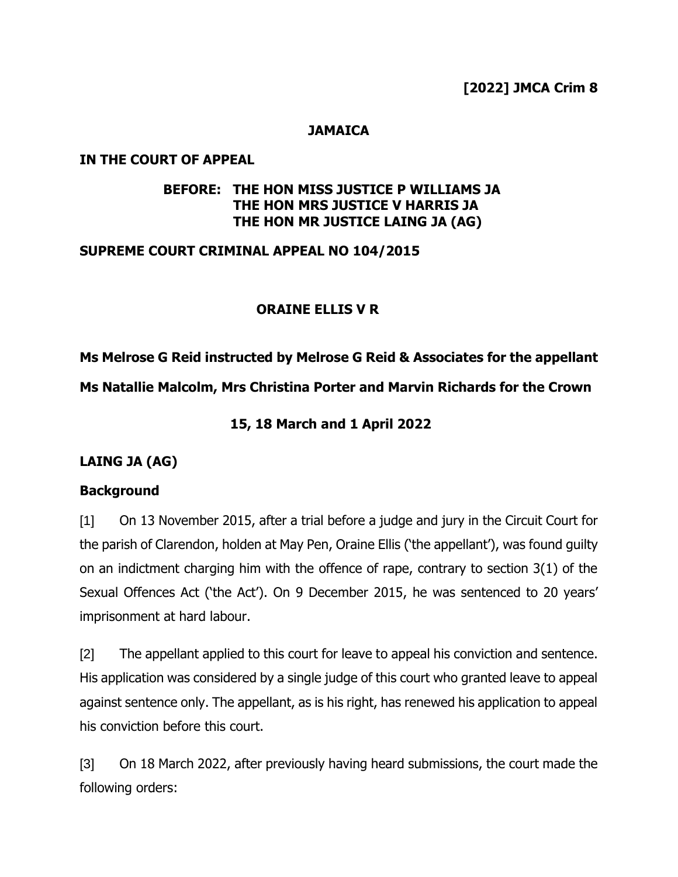#### **[2022] JMCA Crim 8**

#### **JAMAICA**

#### **IN THE COURT OF APPEAL**

### **BEFORE: THE HON MISS JUSTICE P WILLIAMS JA THE HON MRS JUSTICE V HARRIS JA THE HON MR JUSTICE LAING JA (AG)**

#### **SUPREME COURT CRIMINAL APPEAL NO 104/2015**

#### **ORAINE ELLIS V R**

# **Ms Melrose G Reid instructed by Melrose G Reid & Associates for the appellant Ms Natallie Malcolm, Mrs Christina Porter and Marvin Richards for the Crown**

#### **15, 18 March and 1 April 2022**

#### **LAING JA (AG)**

#### **Background**

[1] On 13 November 2015, after a trial before a judge and jury in the Circuit Court for the parish of Clarendon, holden at May Pen, Oraine Ellis ('the appellant'), was found guilty on an indictment charging him with the offence of rape, contrary to section 3(1) of the Sexual Offences Act ('the Act'). On 9 December 2015, he was sentenced to 20 years' imprisonment at hard labour.

[2] The appellant applied to this court for leave to appeal his conviction and sentence. His application was considered by a single judge of this court who granted leave to appeal against sentence only. The appellant, as is his right, has renewed his application to appeal his conviction before this court.

[3] On 18 March 2022, after previously having heard submissions, the court made the following orders: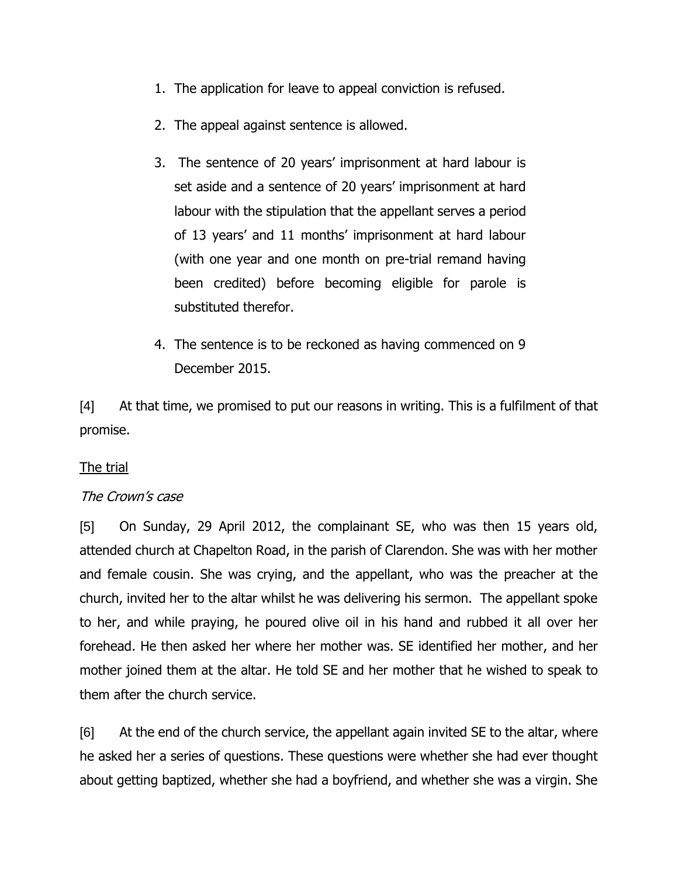- 1. The application for leave to appeal conviction is refused.
- 2. The appeal against sentence is allowed.
- 3. The sentence of 20 years' imprisonment at hard labour is set aside and a sentence of 20 years' imprisonment at hard labour with the stipulation that the appellant serves a period of 13 years' and 11 months' imprisonment at hard labour (with one year and one month on pre-trial remand having been credited) before becoming eligible for parole is substituted therefor.
- 4. The sentence is to be reckoned as having commenced on 9 December 2015.

[4] At that time, we promised to put our reasons in writing. This is a fulfilment of that promise.

### The trial

#### The Crown's case

[5] On Sunday, 29 April 2012, the complainant SE, who was then 15 years old, attended church at Chapelton Road, in the parish of Clarendon. She was with her mother and female cousin. She was crying, and the appellant, who was the preacher at the church, invited her to the altar whilst he was delivering his sermon. The appellant spoke to her, and while praying, he poured olive oil in his hand and rubbed it all over her forehead. He then asked her where her mother was. SE identified her mother, and her mother joined them at the altar. He told SE and her mother that he wished to speak to them after the church service.

[6] At the end of the church service, the appellant again invited SE to the altar, where he asked her a series of questions. These questions were whether she had ever thought about getting baptized, whether she had a boyfriend, and whether she was a virgin. She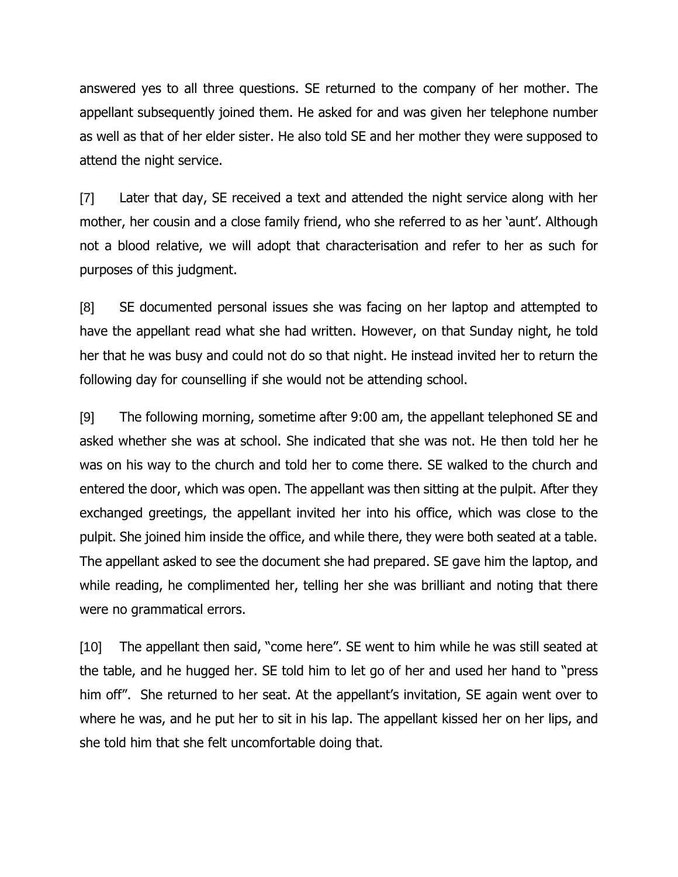answered yes to all three questions. SE returned to the company of her mother. The appellant subsequently joined them. He asked for and was given her telephone number as well as that of her elder sister. He also told SE and her mother they were supposed to attend the night service.

[7] Later that day, SE received a text and attended the night service along with her mother, her cousin and a close family friend, who she referred to as her 'aunt'. Although not a blood relative, we will adopt that characterisation and refer to her as such for purposes of this judgment.

[8] SE documented personal issues she was facing on her laptop and attempted to have the appellant read what she had written. However, on that Sunday night, he told her that he was busy and could not do so that night. He instead invited her to return the following day for counselling if she would not be attending school.

[9] The following morning, sometime after 9:00 am, the appellant telephoned SE and asked whether she was at school. She indicated that she was not. He then told her he was on his way to the church and told her to come there. SE walked to the church and entered the door, which was open. The appellant was then sitting at the pulpit. After they exchanged greetings, the appellant invited her into his office, which was close to the pulpit. She joined him inside the office, and while there, they were both seated at a table. The appellant asked to see the document she had prepared. SE gave him the laptop, and while reading, he complimented her, telling her she was brilliant and noting that there were no grammatical errors.

[10] The appellant then said, "come here". SE went to him while he was still seated at the table, and he hugged her. SE told him to let go of her and used her hand to "press him off". She returned to her seat. At the appellant's invitation, SE again went over to where he was, and he put her to sit in his lap. The appellant kissed her on her lips, and she told him that she felt uncomfortable doing that.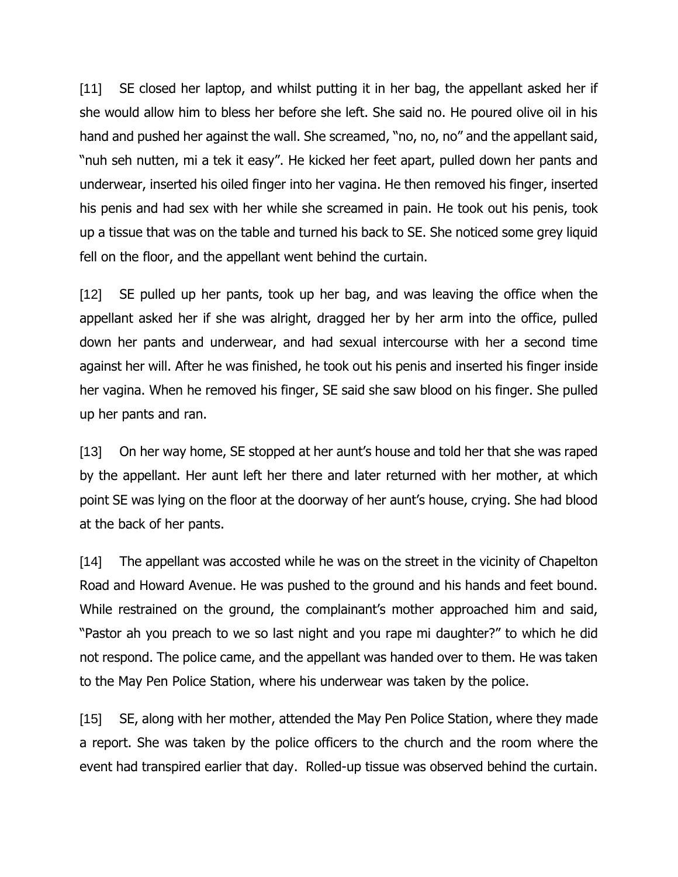[11] SE closed her laptop, and whilst putting it in her bag, the appellant asked her if she would allow him to bless her before she left. She said no. He poured olive oil in his hand and pushed her against the wall. She screamed, "no, no, no" and the appellant said, "nuh seh nutten, mi a tek it easy". He kicked her feet apart, pulled down her pants and underwear, inserted his oiled finger into her vagina. He then removed his finger, inserted his penis and had sex with her while she screamed in pain. He took out his penis, took up a tissue that was on the table and turned his back to SE. She noticed some grey liquid fell on the floor, and the appellant went behind the curtain.

[12] SE pulled up her pants, took up her bag, and was leaving the office when the appellant asked her if she was alright, dragged her by her arm into the office, pulled down her pants and underwear, and had sexual intercourse with her a second time against her will. After he was finished, he took out his penis and inserted his finger inside her vagina. When he removed his finger, SE said she saw blood on his finger. She pulled up her pants and ran.

[13] On her way home, SE stopped at her aunt's house and told her that she was raped by the appellant. Her aunt left her there and later returned with her mother, at which point SE was lying on the floor at the doorway of her aunt's house, crying. She had blood at the back of her pants.

[14] The appellant was accosted while he was on the street in the vicinity of Chapelton Road and Howard Avenue. He was pushed to the ground and his hands and feet bound. While restrained on the ground, the complainant's mother approached him and said, "Pastor ah you preach to we so last night and you rape mi daughter?" to which he did not respond. The police came, and the appellant was handed over to them. He was taken to the May Pen Police Station, where his underwear was taken by the police.

[15] SE, along with her mother, attended the May Pen Police Station, where they made a report. She was taken by the police officers to the church and the room where the event had transpired earlier that day. Rolled-up tissue was observed behind the curtain.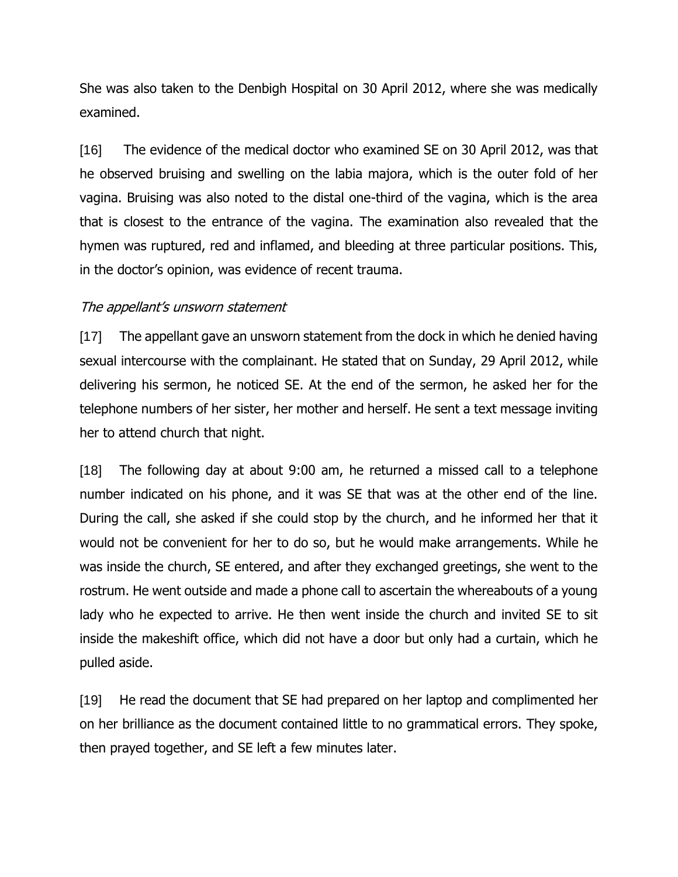She was also taken to the Denbigh Hospital on 30 April 2012, where she was medically examined.

[16] The evidence of the medical doctor who examined SE on 30 April 2012, was that he observed bruising and swelling on the labia majora, which is the outer fold of her vagina. Bruising was also noted to the distal one-third of the vagina, which is the area that is closest to the entrance of the vagina. The examination also revealed that the hymen was ruptured, red and inflamed, and bleeding at three particular positions. This, in the doctor's opinion, was evidence of recent trauma.

### The appellant's unsworn statement

[17] The appellant gave an unsworn statement from the dock in which he denied having sexual intercourse with the complainant. He stated that on Sunday, 29 April 2012, while delivering his sermon, he noticed SE. At the end of the sermon, he asked her for the telephone numbers of her sister, her mother and herself. He sent a text message inviting her to attend church that night.

[18] The following day at about 9:00 am, he returned a missed call to a telephone number indicated on his phone, and it was SE that was at the other end of the line. During the call, she asked if she could stop by the church, and he informed her that it would not be convenient for her to do so, but he would make arrangements. While he was inside the church, SE entered, and after they exchanged greetings, she went to the rostrum. He went outside and made a phone call to ascertain the whereabouts of a young lady who he expected to arrive. He then went inside the church and invited SE to sit inside the makeshift office, which did not have a door but only had a curtain, which he pulled aside.

[19] He read the document that SE had prepared on her laptop and complimented her on her brilliance as the document contained little to no grammatical errors. They spoke, then prayed together, and SE left a few minutes later.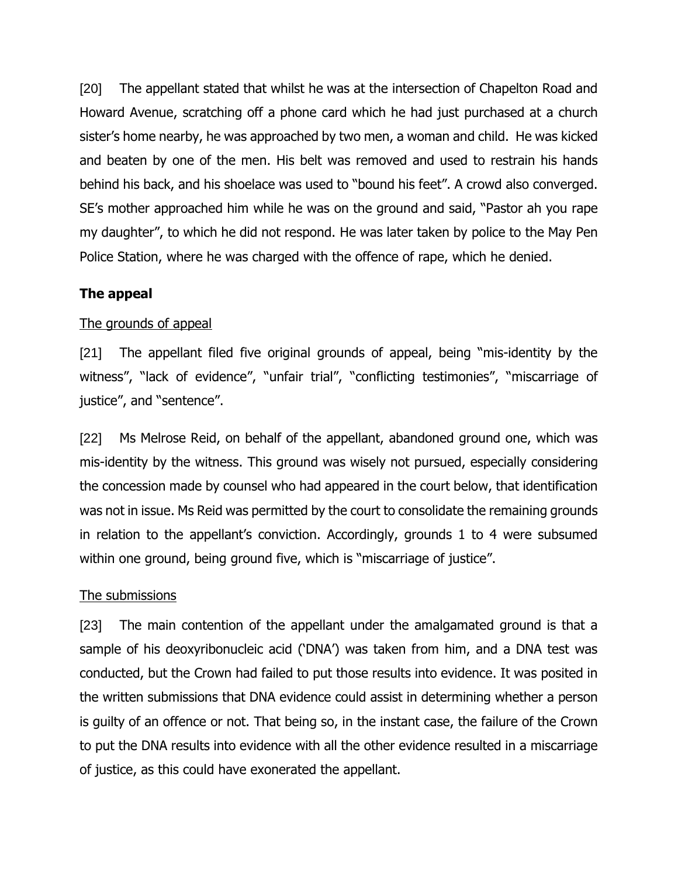[20] The appellant stated that whilst he was at the intersection of Chapelton Road and Howard Avenue, scratching off a phone card which he had just purchased at a church sister's home nearby, he was approached by two men, a woman and child. He was kicked and beaten by one of the men. His belt was removed and used to restrain his hands behind his back, and his shoelace was used to "bound his feet". A crowd also converged. SE's mother approached him while he was on the ground and said, "Pastor ah you rape my daughter", to which he did not respond. He was later taken by police to the May Pen Police Station, where he was charged with the offence of rape, which he denied.

### **The appeal**

### The grounds of appeal

[21] The appellant filed five original grounds of appeal, being "mis-identity by the witness", "lack of evidence", "unfair trial", "conflicting testimonies", "miscarriage of justice", and "sentence".

[22] Ms Melrose Reid, on behalf of the appellant, abandoned ground one, which was mis-identity by the witness. This ground was wisely not pursued, especially considering the concession made by counsel who had appeared in the court below, that identification was not in issue. Ms Reid was permitted by the court to consolidate the remaining grounds in relation to the appellant's conviction. Accordingly, grounds 1 to 4 were subsumed within one ground, being ground five, which is "miscarriage of justice".

### The submissions

[23] The main contention of the appellant under the amalgamated ground is that a sample of his deoxyribonucleic acid ('DNA') was taken from him, and a DNA test was conducted, but the Crown had failed to put those results into evidence. It was posited in the written submissions that DNA evidence could assist in determining whether a person is guilty of an offence or not. That being so, in the instant case, the failure of the Crown to put the DNA results into evidence with all the other evidence resulted in a miscarriage of justice, as this could have exonerated the appellant.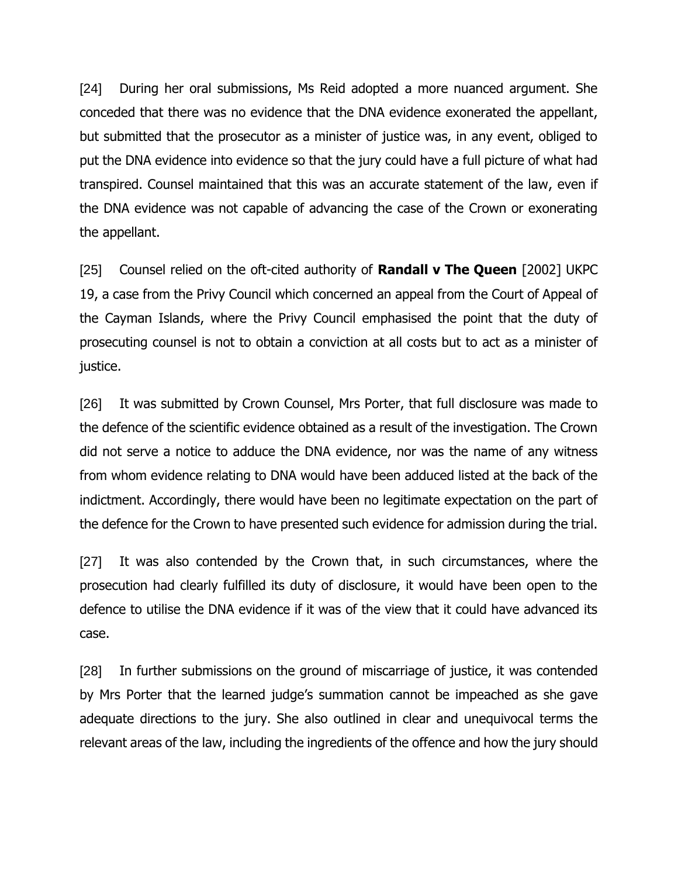[24] During her oral submissions, Ms Reid adopted a more nuanced argument. She conceded that there was no evidence that the DNA evidence exonerated the appellant, but submitted that the prosecutor as a minister of justice was, in any event, obliged to put the DNA evidence into evidence so that the jury could have a full picture of what had transpired. Counsel maintained that this was an accurate statement of the law, even if the DNA evidence was not capable of advancing the case of the Crown or exonerating the appellant.

[25] Counsel relied on the oft-cited authority of **Randall v The Queen** [2002] UKPC 19, a case from the Privy Council which concerned an appeal from the Court of Appeal of the Cayman Islands, where the Privy Council emphasised the point that the duty of prosecuting counsel is not to obtain a conviction at all costs but to act as a minister of justice.

[26] It was submitted by Crown Counsel, Mrs Porter, that full disclosure was made to the defence of the scientific evidence obtained as a result of the investigation. The Crown did not serve a notice to adduce the DNA evidence, nor was the name of any witness from whom evidence relating to DNA would have been adduced listed at the back of the indictment. Accordingly, there would have been no legitimate expectation on the part of the defence for the Crown to have presented such evidence for admission during the trial.

[27] It was also contended by the Crown that, in such circumstances, where the prosecution had clearly fulfilled its duty of disclosure, it would have been open to the defence to utilise the DNA evidence if it was of the view that it could have advanced its case.

[28] In further submissions on the ground of miscarriage of justice, it was contended by Mrs Porter that the learned judge's summation cannot be impeached as she gave adequate directions to the jury. She also outlined in clear and unequivocal terms the relevant areas of the law, including the ingredients of the offence and how the jury should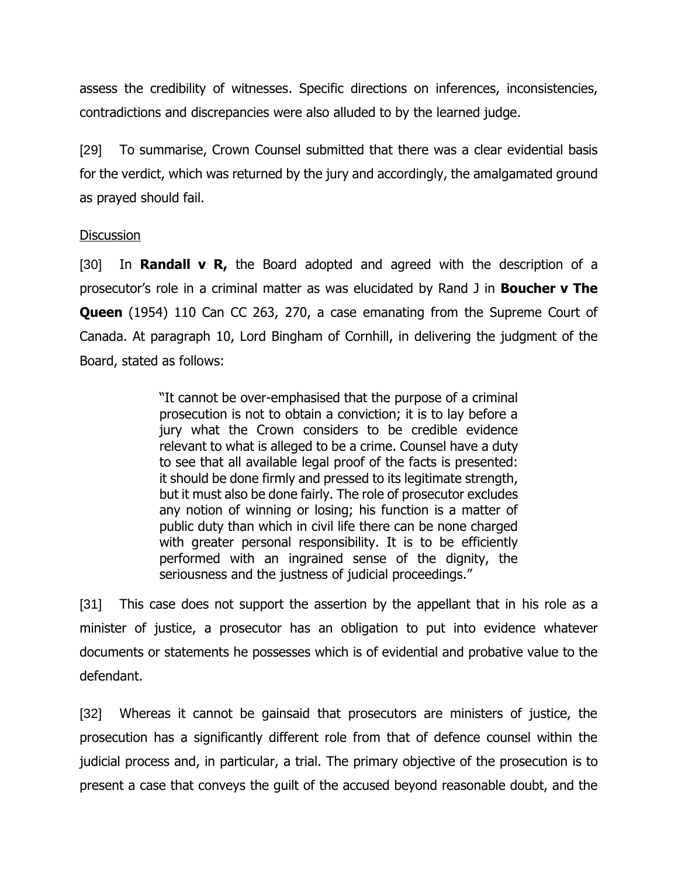assess the credibility of witnesses. Specific directions on inferences, inconsistencies, contradictions and discrepancies were also alluded to by the learned judge.

[29] To summarise, Crown Counsel submitted that there was a clear evidential basis for the verdict, which was returned by the jury and accordingly, the amalgamated ground as prayed should fail.

#### **Discussion**

[30] In **Randall v R,** the Board adopted and agreed with the description of a prosecutor's role in a criminal matter as was elucidated by Rand J in **Boucher v The Queen** (1954) 110 Can CC 263, 270, a case emanating from the Supreme Court of Canada. At paragraph 10, Lord Bingham of Cornhill, in delivering the judgment of the Board, stated as follows:

> "It cannot be over-emphasised that the purpose of a criminal prosecution is not to obtain a conviction; it is to lay before a jury what the Crown considers to be credible evidence relevant to what is alleged to be a crime. Counsel have a duty to see that all available legal proof of the facts is presented: it should be done firmly and pressed to its legitimate strength, but it must also be done fairly. The role of prosecutor excludes any notion of winning or losing; his function is a matter of public duty than which in civil life there can be none charged with greater personal responsibility. It is to be efficiently performed with an ingrained sense of the dignity, the seriousness and the justness of judicial proceedings."

[31] This case does not support the assertion by the appellant that in his role as a minister of justice, a prosecutor has an obligation to put into evidence whatever documents or statements he possesses which is of evidential and probative value to the defendant.

[32] Whereas it cannot be gainsaid that prosecutors are ministers of justice, the prosecution has a significantly different role from that of defence counsel within the judicial process and, in particular, a trial. The primary objective of the prosecution is to present a case that conveys the guilt of the accused beyond reasonable doubt, and the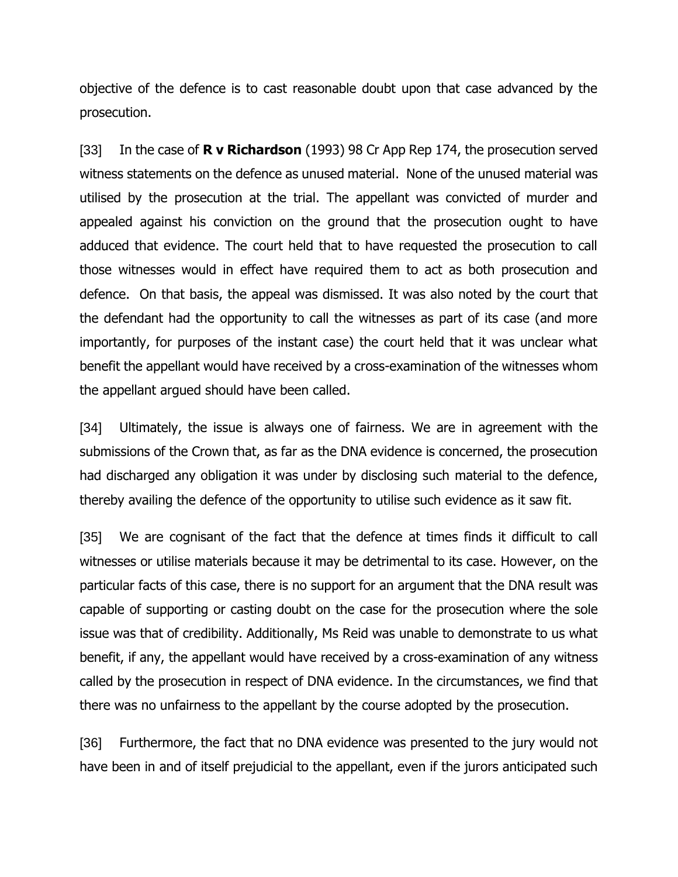objective of the defence is to cast reasonable doubt upon that case advanced by the prosecution.

[33] In the case of **R v Richardson** (1993) 98 Cr App Rep 174, the prosecution served witness statements on the defence as unused material. None of the unused material was utilised by the prosecution at the trial. The appellant was convicted of murder and appealed against his conviction on the ground that the prosecution ought to have adduced that evidence. The court held that to have requested the prosecution to call those witnesses would in effect have required them to act as both prosecution and defence. On that basis, the appeal was dismissed. It was also noted by the court that the defendant had the opportunity to call the witnesses as part of its case (and more importantly, for purposes of the instant case) the court held that it was unclear what benefit the appellant would have received by a cross-examination of the witnesses whom the appellant argued should have been called.

[34] Ultimately, the issue is always one of fairness. We are in agreement with the submissions of the Crown that, as far as the DNA evidence is concerned, the prosecution had discharged any obligation it was under by disclosing such material to the defence, thereby availing the defence of the opportunity to utilise such evidence as it saw fit.

[35] We are cognisant of the fact that the defence at times finds it difficult to call witnesses or utilise materials because it may be detrimental to its case. However, on the particular facts of this case, there is no support for an argument that the DNA result was capable of supporting or casting doubt on the case for the prosecution where the sole issue was that of credibility. Additionally, Ms Reid was unable to demonstrate to us what benefit, if any, the appellant would have received by a cross-examination of any witness called by the prosecution in respect of DNA evidence. In the circumstances, we find that there was no unfairness to the appellant by the course adopted by the prosecution.

[36] Furthermore, the fact that no DNA evidence was presented to the jury would not have been in and of itself prejudicial to the appellant, even if the jurors anticipated such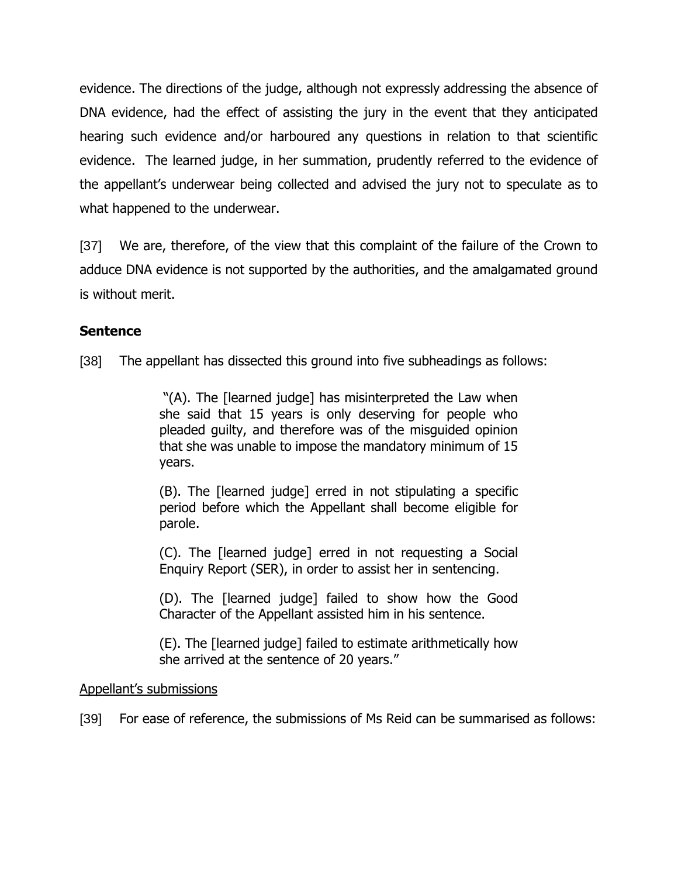evidence. The directions of the judge, although not expressly addressing the absence of DNA evidence, had the effect of assisting the jury in the event that they anticipated hearing such evidence and/or harboured any questions in relation to that scientific evidence. The learned judge, in her summation, prudently referred to the evidence of the appellant's underwear being collected and advised the jury not to speculate as to what happened to the underwear.

[37] We are, therefore, of the view that this complaint of the failure of the Crown to adduce DNA evidence is not supported by the authorities, and the amalgamated ground is without merit.

## **Sentence**

[38] The appellant has dissected this ground into five subheadings as follows:

"(A). The [learned judge] has misinterpreted the Law when she said that 15 years is only deserving for people who pleaded guilty, and therefore was of the misguided opinion that she was unable to impose the mandatory minimum of 15 years.

(B). The [learned judge] erred in not stipulating a specific period before which the Appellant shall become eligible for parole.

(C). The [learned judge] erred in not requesting a Social Enquiry Report (SER), in order to assist her in sentencing.

(D). The [learned judge] failed to show how the Good Character of the Appellant assisted him in his sentence.

(E). The [learned judge] failed to estimate arithmetically how she arrived at the sentence of 20 years."

### Appellant's submissions

[39] For ease of reference, the submissions of Ms Reid can be summarised as follows: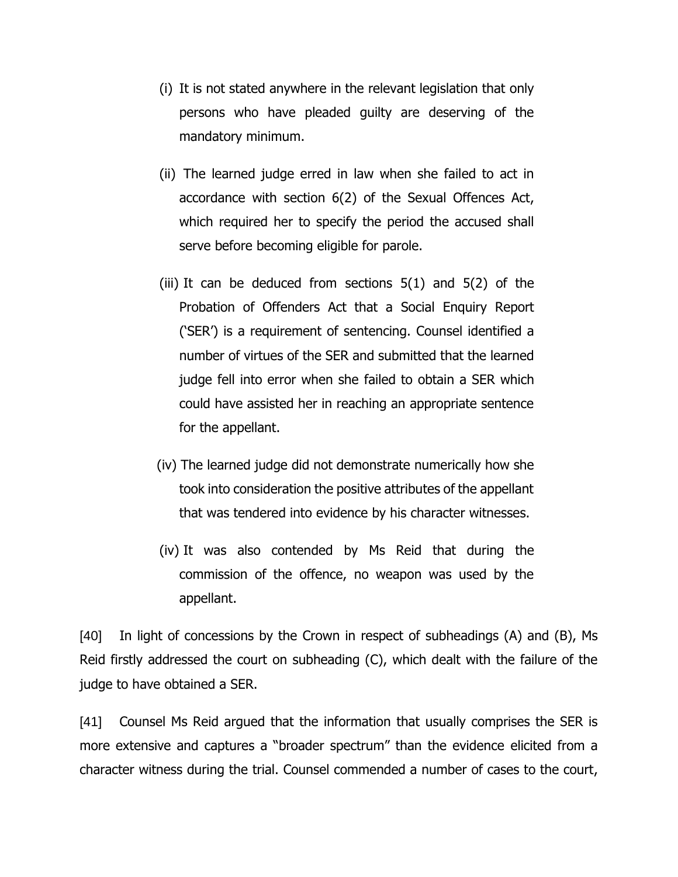- (i) It is not stated anywhere in the relevant legislation that only persons who have pleaded guilty are deserving of the mandatory minimum.
- (ii) The learned judge erred in law when she failed to act in accordance with section 6(2) of the Sexual Offences Act, which required her to specify the period the accused shall serve before becoming eligible for parole.
- (iii) It can be deduced from sections  $5(1)$  and  $5(2)$  of the Probation of Offenders Act that a Social Enquiry Report ('SER') is a requirement of sentencing. Counsel identified a number of virtues of the SER and submitted that the learned judge fell into error when she failed to obtain a SER which could have assisted her in reaching an appropriate sentence for the appellant.
- (iv) The learned judge did not demonstrate numerically how she took into consideration the positive attributes of the appellant that was tendered into evidence by his character witnesses.
- (iv) It was also contended by Ms Reid that during the commission of the offence, no weapon was used by the appellant.

[40] In light of concessions by the Crown in respect of subheadings (A) and (B), Ms Reid firstly addressed the court on subheading (C), which dealt with the failure of the judge to have obtained a SER.

[41] Counsel Ms Reid argued that the information that usually comprises the SER is more extensive and captures a "broader spectrum" than the evidence elicited from a character witness during the trial. Counsel commended a number of cases to the court,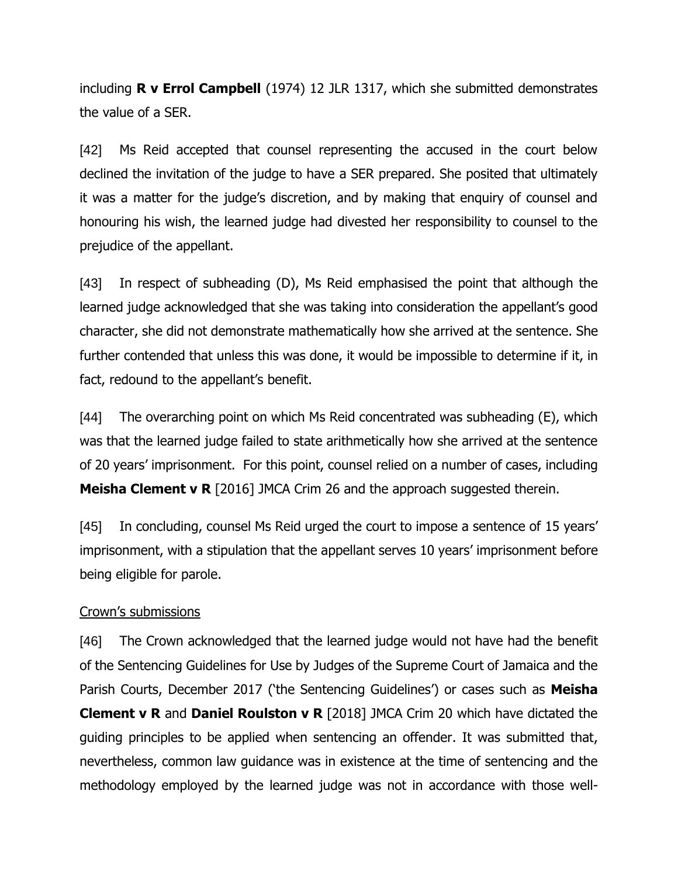including **R v Errol Campbell** (1974) 12 JLR 1317, which she submitted demonstrates the value of a SER.

[42] Ms Reid accepted that counsel representing the accused in the court below declined the invitation of the judge to have a SER prepared. She posited that ultimately it was a matter for the judge's discretion, and by making that enquiry of counsel and honouring his wish, the learned judge had divested her responsibility to counsel to the prejudice of the appellant.

[43] In respect of subheading (D), Ms Reid emphasised the point that although the learned judge acknowledged that she was taking into consideration the appellant's good character, she did not demonstrate mathematically how she arrived at the sentence. She further contended that unless this was done, it would be impossible to determine if it, in fact, redound to the appellant's benefit.

[44] The overarching point on which Ms Reid concentrated was subheading (E), which was that the learned judge failed to state arithmetically how she arrived at the sentence of 20 years' imprisonment. For this point, counsel relied on a number of cases, including **Meisha Clement v R** [2016] JMCA Crim 26 and the approach suggested therein.

[45] In concluding, counsel Ms Reid urged the court to impose a sentence of 15 years' imprisonment, with a stipulation that the appellant serves 10 years' imprisonment before being eligible for parole.

### Crown's submissions

[46] The Crown acknowledged that the learned judge would not have had the benefit of the Sentencing Guidelines for Use by Judges of the Supreme Court of Jamaica and the Parish Courts, December 2017 ('the Sentencing Guidelines') or cases such as **Meisha Clement v R** and **Daniel Roulston v R** [2018] JMCA Crim 20 which have dictated the guiding principles to be applied when sentencing an offender. It was submitted that, nevertheless, common law guidance was in existence at the time of sentencing and the methodology employed by the learned judge was not in accordance with those well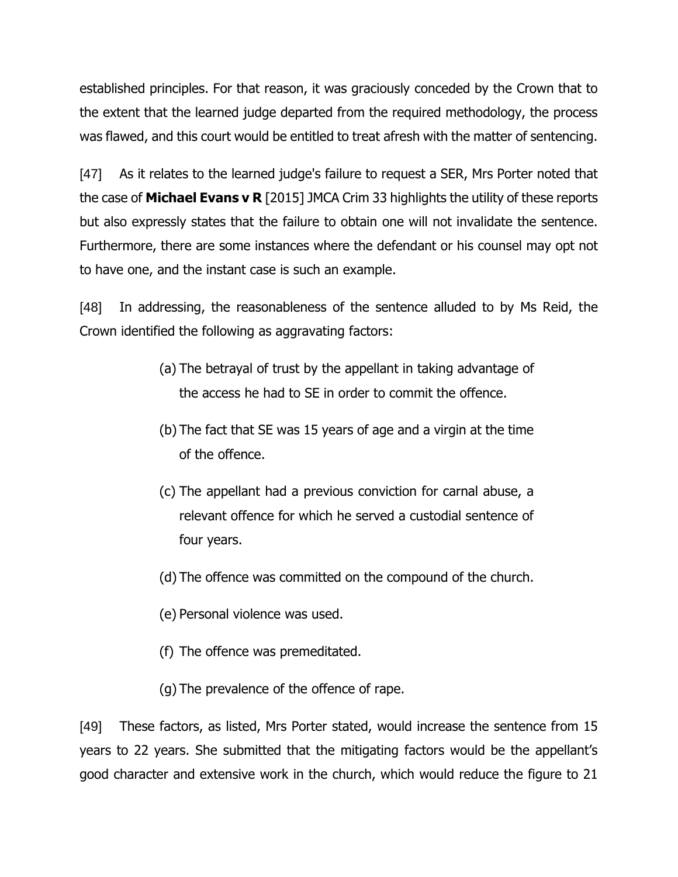established principles. For that reason, it was graciously conceded by the Crown that to the extent that the learned judge departed from the required methodology, the process was flawed, and this court would be entitled to treat afresh with the matter of sentencing.

[47] As it relates to the learned judge's failure to request a SER, Mrs Porter noted that the case of **Michael Evans v R** [2015] JMCA Crim 33 highlights the utility of these reports but also expressly states that the failure to obtain one will not invalidate the sentence. Furthermore, there are some instances where the defendant or his counsel may opt not to have one, and the instant case is such an example.

[48] In addressing, the reasonableness of the sentence alluded to by Ms Reid, the Crown identified the following as aggravating factors:

- (a) The betrayal of trust by the appellant in taking advantage of the access he had to SE in order to commit the offence.
- (b) The fact that SE was 15 years of age and a virgin at the time of the offence.
- (c) The appellant had a previous conviction for carnal abuse, a relevant offence for which he served a custodial sentence of four years.
- (d) The offence was committed on the compound of the church.
- (e) Personal violence was used.
- (f) The offence was premeditated.
- (g) The prevalence of the offence of rape.

[49] These factors, as listed, Mrs Porter stated, would increase the sentence from 15 years to 22 years. She submitted that the mitigating factors would be the appellant's good character and extensive work in the church, which would reduce the figure to 21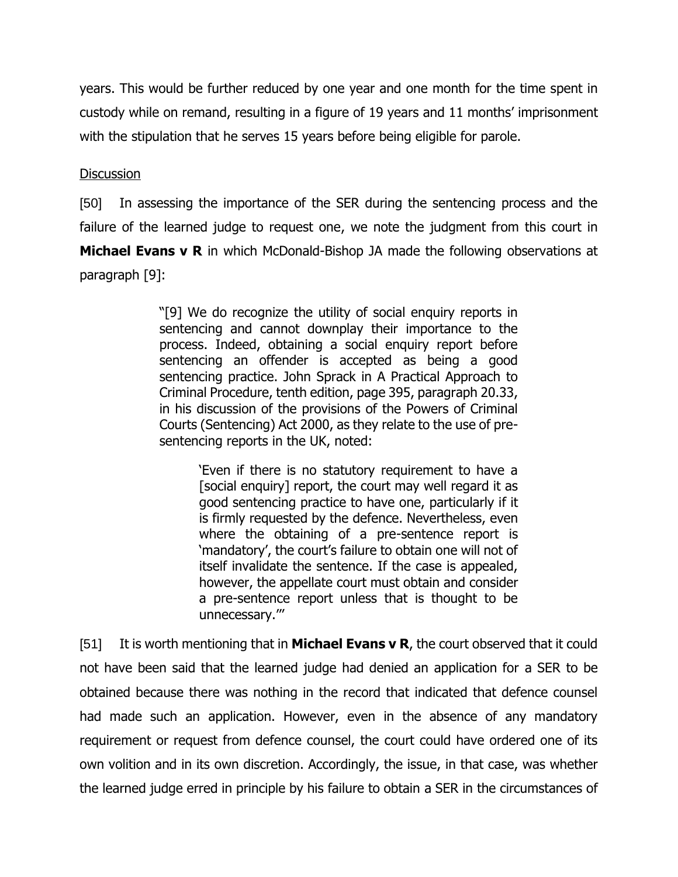years. This would be further reduced by one year and one month for the time spent in custody while on remand, resulting in a figure of 19 years and 11 months' imprisonment with the stipulation that he serves 15 years before being eligible for parole.

### **Discussion**

[50] In assessing the importance of the SER during the sentencing process and the failure of the learned judge to request one, we note the judgment from this court in **Michael Evans v R** in which McDonald-Bishop JA made the following observations at paragraph [9]:

> "[9] We do recognize the utility of social enquiry reports in sentencing and cannot downplay their importance to the process. Indeed, obtaining a social enquiry report before sentencing an offender is accepted as being a good sentencing practice. John Sprack in A Practical Approach to Criminal Procedure, tenth edition, page 395, paragraph 20.33, in his discussion of the provisions of the Powers of Criminal Courts (Sentencing) Act 2000, as they relate to the use of presentencing reports in the UK, noted:

> > 'Even if there is no statutory requirement to have a [social enquiry] report, the court may well regard it as good sentencing practice to have one, particularly if it is firmly requested by the defence. Nevertheless, even where the obtaining of a pre-sentence report is 'mandatory', the court's failure to obtain one will not of itself invalidate the sentence. If the case is appealed, however, the appellate court must obtain and consider a pre-sentence report unless that is thought to be unnecessary.'''

[51] It is worth mentioning that in **Michael Evans v R**, the court observed that it could not have been said that the learned judge had denied an application for a SER to be obtained because there was nothing in the record that indicated that defence counsel had made such an application. However, even in the absence of any mandatory requirement or request from defence counsel, the court could have ordered one of its own volition and in its own discretion. Accordingly, the issue, in that case, was whether the learned judge erred in principle by his failure to obtain a SER in the circumstances of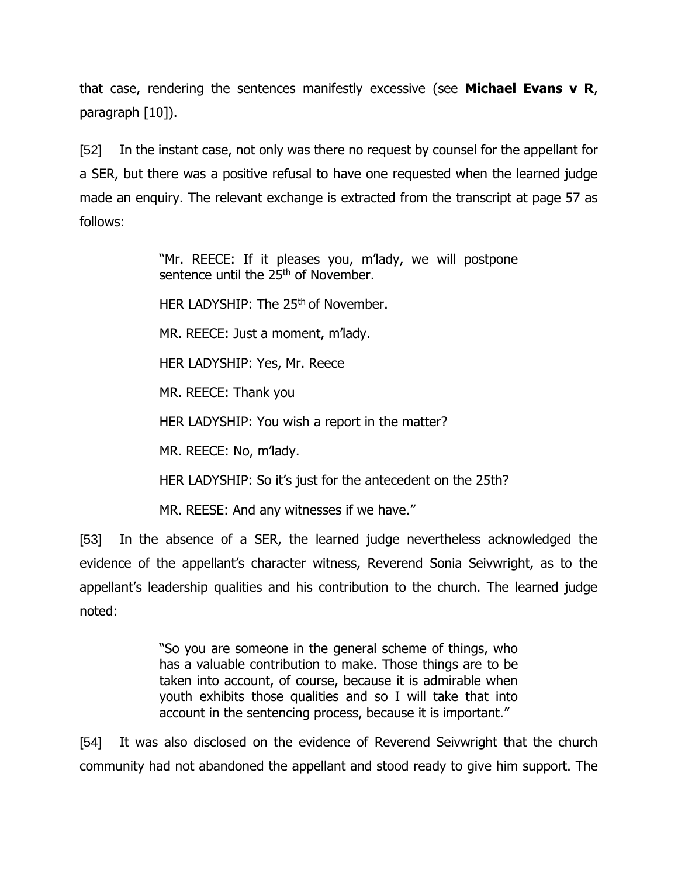that case, rendering the sentences manifestly excessive (see **Michael Evans v R**, paragraph [10]).

[52] In the instant case, not only was there no request by counsel for the appellant for a SER, but there was a positive refusal to have one requested when the learned judge made an enquiry. The relevant exchange is extracted from the transcript at page 57 as follows:

> "Mr. REECE: If it pleases you, m'lady, we will postpone sentence until the 25<sup>th</sup> of November.

HFR LADYSHIP: The 25<sup>th</sup> of November.

MR. REECE: Just a moment, m'lady.

HER LADYSHIP: Yes, Mr. Reece

MR. REECE: Thank you

HER LADYSHIP: You wish a report in the matter?

MR. REECE: No, m'lady.

HER LADYSHIP: So it's just for the antecedent on the 25th?

MR. REESE: And any witnesses if we have."

[53] In the absence of a SER, the learned judge nevertheless acknowledged the evidence of the appellant's character witness, Reverend Sonia Seivwright, as to the appellant's leadership qualities and his contribution to the church. The learned judge noted:

> "So you are someone in the general scheme of things, who has a valuable contribution to make. Those things are to be taken into account, of course, because it is admirable when youth exhibits those qualities and so I will take that into account in the sentencing process, because it is important."

[54] It was also disclosed on the evidence of Reverend Seivwright that the church community had not abandoned the appellant and stood ready to give him support. The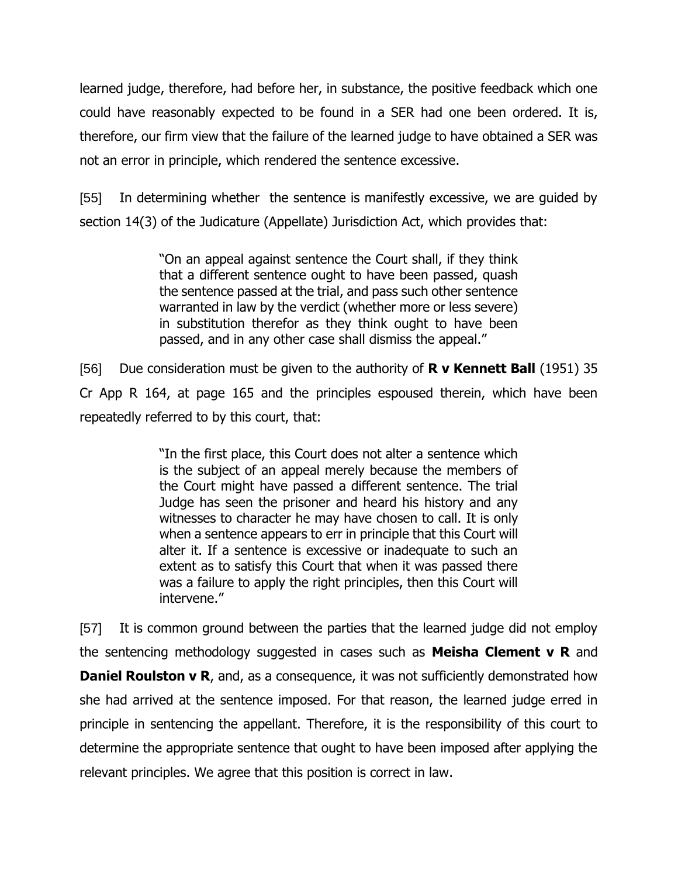learned judge, therefore, had before her, in substance, the positive feedback which one could have reasonably expected to be found in a SER had one been ordered. It is, therefore, our firm view that the failure of the learned judge to have obtained a SER was not an error in principle, which rendered the sentence excessive.

[55] In determining whether the sentence is manifestly excessive, we are guided by section 14(3) of the Judicature (Appellate) Jurisdiction Act, which provides that:

> "On an appeal against sentence the Court shall, if they think that a different sentence ought to have been passed, quash the sentence passed at the trial, and pass such other sentence warranted in law by the verdict (whether more or less severe) in substitution therefor as they think ought to have been passed, and in any other case shall dismiss the appeal."

[56] Due consideration must be given to the authority of **R v Kennett Ball** (1951) 35 Cr App R 164, at page 165 and the principles espoused therein, which have been repeatedly referred to by this court, that:

> "In the first place, this Court does not alter a sentence which is the subject of an appeal merely because the members of the Court might have passed a different sentence. The trial Judge has seen the prisoner and heard his history and any witnesses to character he may have chosen to call. It is only when a sentence appears to err in principle that this Court will alter it. If a sentence is excessive or inadequate to such an extent as to satisfy this Court that when it was passed there was a failure to apply the right principles, then this Court will intervene."

[57] It is common ground between the parties that the learned judge did not employ the sentencing methodology suggested in cases such as **Meisha Clement v R** and **Daniel Roulston v R**, and, as a consequence, it was not sufficiently demonstrated how she had arrived at the sentence imposed. For that reason, the learned judge erred in principle in sentencing the appellant. Therefore, it is the responsibility of this court to determine the appropriate sentence that ought to have been imposed after applying the relevant principles. We agree that this position is correct in law.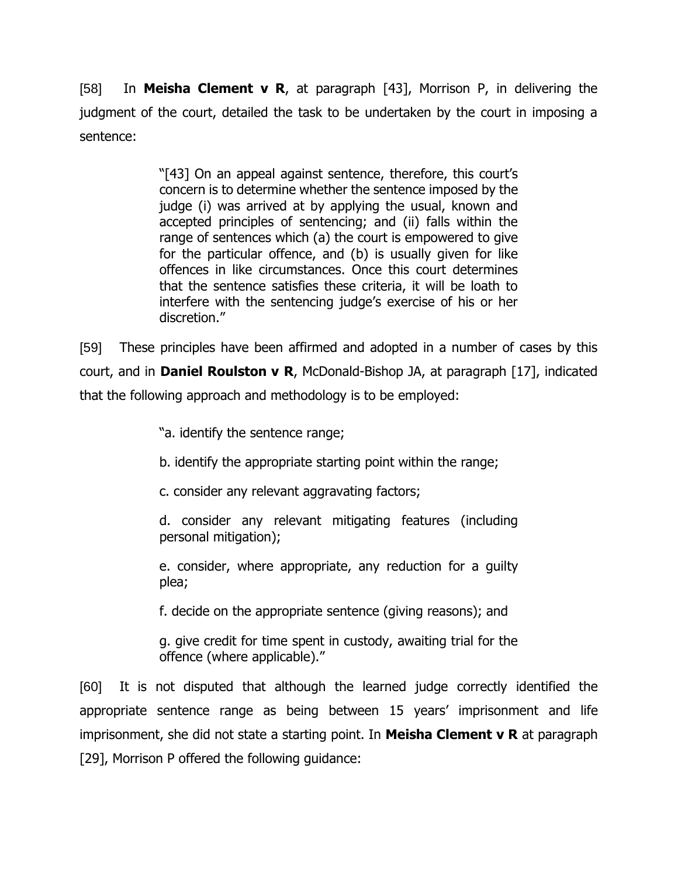[58] In **Meisha Clement v R**, at paragraph [43], Morrison P, in delivering the judgment of the court, detailed the task to be undertaken by the court in imposing a sentence:

> "[43] On an appeal against sentence, therefore, this court's concern is to determine whether the sentence imposed by the judge (i) was arrived at by applying the usual, known and accepted principles of sentencing; and (ii) falls within the range of sentences which (a) the court is empowered to give for the particular offence, and (b) is usually given for like offences in like circumstances. Once this court determines that the sentence satisfies these criteria, it will be loath to interfere with the sentencing judge's exercise of his or her discretion."

[59] These principles have been affirmed and adopted in a number of cases by this court, and in **Daniel Roulston v R**, McDonald-Bishop JA, at paragraph [17], indicated that the following approach and methodology is to be employed:

"a. identify the sentence range;

b. identify the appropriate starting point within the range;

c. consider any relevant aggravating factors;

d. consider any relevant mitigating features (including personal mitigation);

e. consider, where appropriate, any reduction for a guilty plea;

f. decide on the appropriate sentence (giving reasons); and

g. give credit for time spent in custody, awaiting trial for the offence (where applicable)."

[60] It is not disputed that although the learned judge correctly identified the appropriate sentence range as being between 15 years' imprisonment and life imprisonment, she did not state a starting point. In **Meisha Clement v R** at paragraph [29], Morrison P offered the following quidance: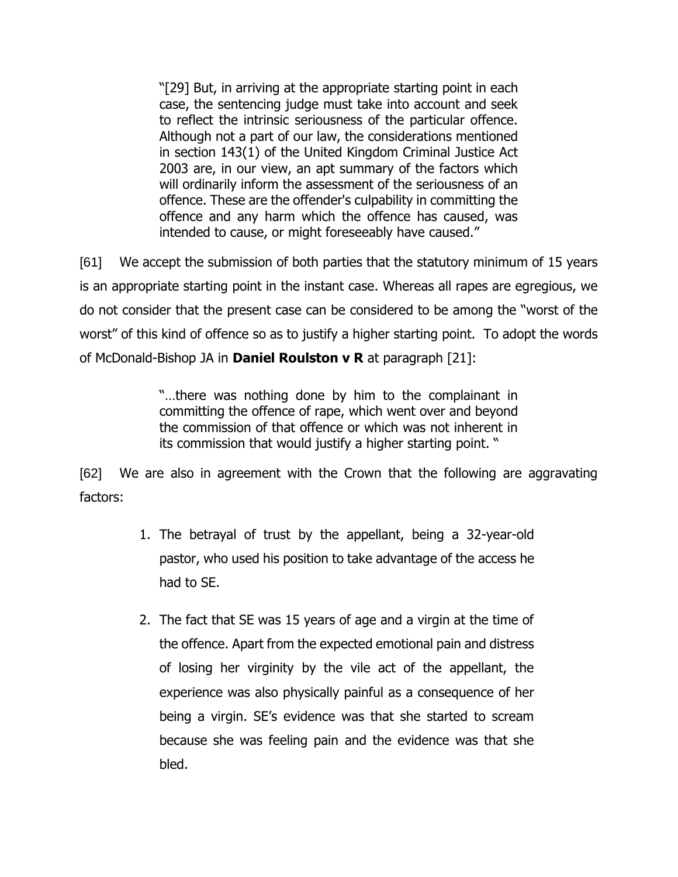"[29] But, in arriving at the appropriate starting point in each case, the sentencing judge must take into account and seek to reflect the intrinsic seriousness of the particular offence. Although not a part of our law, the considerations mentioned in section 143(1) of the United Kingdom Criminal Justice Act 2003 are, in our view, an apt summary of the factors which will ordinarily inform the assessment of the seriousness of an offence. These are the offender's culpability in committing the offence and any harm which the offence has caused, was intended to cause, or might foreseeably have caused."

[61] We accept the submission of both parties that the statutory minimum of 15 years is an appropriate starting point in the instant case. Whereas all rapes are egregious, we do not consider that the present case can be considered to be among the "worst of the worst" of this kind of offence so as to justify a higher starting point. To adopt the words of McDonald-Bishop JA in **Daniel Roulston v R** at paragraph [21]:

> "…there was nothing done by him to the complainant in committing the offence of rape, which went over and beyond the commission of that offence or which was not inherent in its commission that would justify a higher starting point. "

[62] We are also in agreement with the Crown that the following are aggravating factors:

- 1. The betrayal of trust by the appellant, being a 32-year-old pastor, who used his position to take advantage of the access he had to SE.
- 2. The fact that SE was 15 years of age and a virgin at the time of the offence. Apart from the expected emotional pain and distress of losing her virginity by the vile act of the appellant, the experience was also physically painful as a consequence of her being a virgin. SE's evidence was that she started to scream because she was feeling pain and the evidence was that she bled.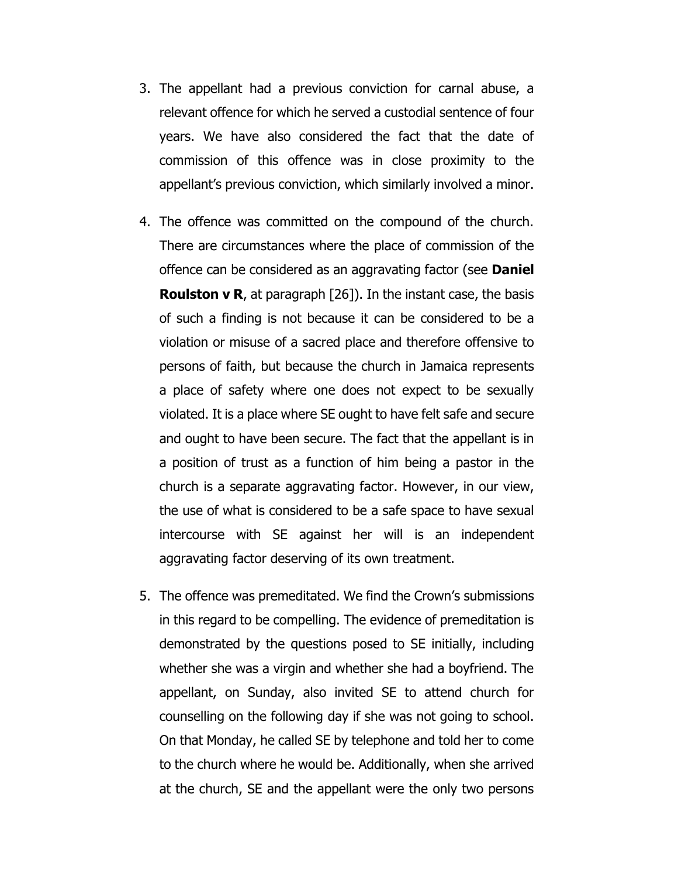- 3. The appellant had a previous conviction for carnal abuse, a relevant offence for which he served a custodial sentence of four years. We have also considered the fact that the date of commission of this offence was in close proximity to the appellant's previous conviction, which similarly involved a minor.
- 4. The offence was committed on the compound of the church. There are circumstances where the place of commission of the offence can be considered as an aggravating factor (see **Daniel Roulston v R**, at paragraph [26]). In the instant case, the basis of such a finding is not because it can be considered to be a violation or misuse of a sacred place and therefore offensive to persons of faith, but because the church in Jamaica represents a place of safety where one does not expect to be sexually violated. It is a place where SE ought to have felt safe and secure and ought to have been secure. The fact that the appellant is in a position of trust as a function of him being a pastor in the church is a separate aggravating factor. However, in our view, the use of what is considered to be a safe space to have sexual intercourse with SE against her will is an independent aggravating factor deserving of its own treatment.
- 5. The offence was premeditated. We find the Crown's submissions in this regard to be compelling. The evidence of premeditation is demonstrated by the questions posed to SE initially, including whether she was a virgin and whether she had a boyfriend. The appellant, on Sunday, also invited SE to attend church for counselling on the following day if she was not going to school. On that Monday, he called SE by telephone and told her to come to the church where he would be. Additionally, when she arrived at the church, SE and the appellant were the only two persons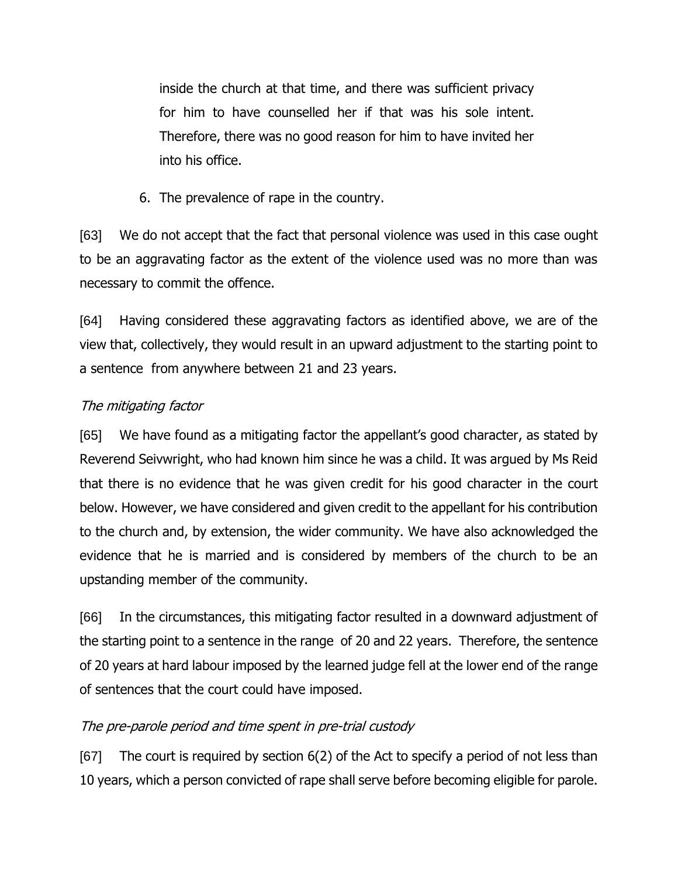inside the church at that time, and there was sufficient privacy for him to have counselled her if that was his sole intent. Therefore, there was no good reason for him to have invited her into his office.

6. The prevalence of rape in the country.

[63] We do not accept that the fact that personal violence was used in this case ought to be an aggravating factor as the extent of the violence used was no more than was necessary to commit the offence.

[64] Having considered these aggravating factors as identified above, we are of the view that, collectively, they would result in an upward adjustment to the starting point to a sentence from anywhere between 21 and 23 years.

# The mitigating factor

[65] We have found as a mitigating factor the appellant's good character, as stated by Reverend Seivwright, who had known him since he was a child. It was argued by Ms Reid that there is no evidence that he was given credit for his good character in the court below. However, we have considered and given credit to the appellant for his contribution to the church and, by extension, the wider community. We have also acknowledged the evidence that he is married and is considered by members of the church to be an upstanding member of the community.

[66] In the circumstances, this mitigating factor resulted in a downward adjustment of the starting point to a sentence in the range of 20 and 22 years. Therefore, the sentence of 20 years at hard labour imposed by the learned judge fell at the lower end of the range of sentences that the court could have imposed.

# The pre-parole period and time spent in pre-trial custody

[67] The court is required by section 6(2) of the Act to specify a period of not less than 10 years, which a person convicted of rape shall serve before becoming eligible for parole.